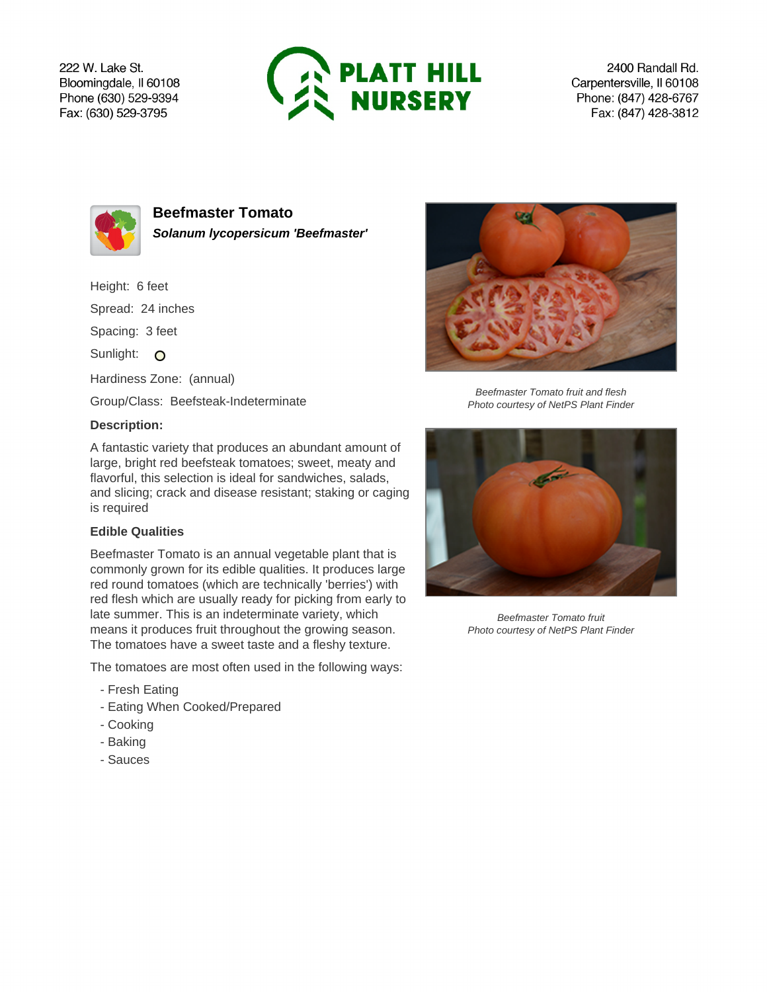222 W. Lake St. Bloomingdale, Il 60108 Phone (630) 529-9394 Fax: (630) 529-3795



2400 Randall Rd. Carpentersville, Il 60108 Phone: (847) 428-6767 Fax: (847) 428-3812



**Beefmaster Tomato Solanum lycopersicum 'Beefmaster'**

Height: 6 feet

Spread: 24 inches

Spacing: 3 feet

Sunlight: O

Hardiness Zone: (annual)

Group/Class: Beefsteak-Indeterminate

## **Description:**

A fantastic variety that produces an abundant amount of large, bright red beefsteak tomatoes; sweet, meaty and flavorful, this selection is ideal for sandwiches, salads, and slicing; crack and disease resistant; staking or caging is required

## **Edible Qualities**

Beefmaster Tomato is an annual vegetable plant that is commonly grown for its edible qualities. It produces large red round tomatoes (which are technically 'berries') with red flesh which are usually ready for picking from early to late summer. This is an indeterminate variety, which means it produces fruit throughout the growing season. The tomatoes have a sweet taste and a fleshy texture.

The tomatoes are most often used in the following ways:

- Fresh Eating
- Eating When Cooked/Prepared
- Cooking
- Baking
- Sauces



Beefmaster Tomato fruit and flesh Photo courtesy of NetPS Plant Finder



Beefmaster Tomato fruit Photo courtesy of NetPS Plant Finder